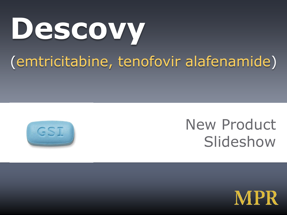# **Descovy**

#### (emtricitabine, tenofovir alafenamide)



#### New Product **Slideshow**

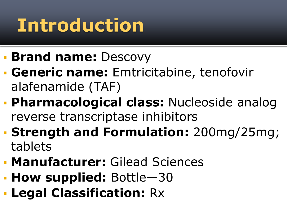# **Introduction**

- **Brand name:** Descovy
- **Generic name:** Emtricitabine, tenofovir alafenamide (TAF)
- **Pharmacological class:** Nucleoside analog reverse transcriptase inhibitors
- **Strength and Formulation:** 200mg/25mg; tablets
- **Manufacturer:** Gilead Sciences
- **How supplied:** Bottle—30
- **Legal Classification:** Rx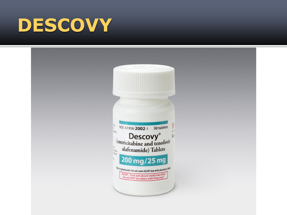## **DESCOVY**

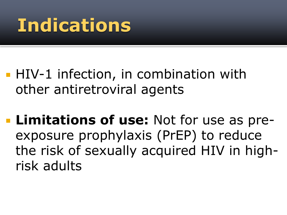## **Indications**

- **HIV-1** infection, in combination with other antiretroviral agents
- **Limitations of use:** Not for use as preexposure prophylaxis (PrEP) to reduce the risk of sexually acquired HIV in highrisk adults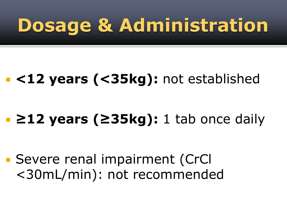# **Dosage & Administration**

#### **<12 years (<35kg):** not established

#### **≥12 years (≥35kg):** 1 tab once daily

■ Severe renal impairment (CrCl <30mL/min): not recommended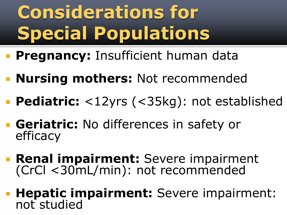# **Considerations for Special Populations**

- **Pregnancy: Insufficient human data**
- **Nursing mothers:** Not recommended
- **Pediatric:** <12yrs (<35kg): not established
- **Geriatric:** No differences in safety or efficacy
- **Renal impairment:** Severe impairment (CrCl <30mL/min): not recommended
- **Hepatic impairment:** Severe impairment: not studied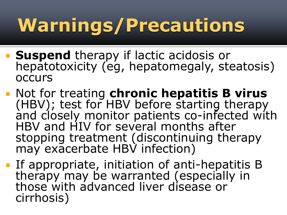# **Warnings/Precautions**

- **Suspend** therapy if lactic acidosis or hepatotoxicity (eg, hepatomegaly, steatosis) **occurs**
- Not for treating **chronic hepatitis B virus**  (HBV); test for HBV before starting therapy and closely monitor patients co-infected with HBV and HIV for several months after stopping treatment (discontinuing therapy may exacerbate HBV infection)
- **If appropriate, initiation of anti-hepatitis B** therapy may be warranted (especially in those with advanced liver disease or cirrhosis)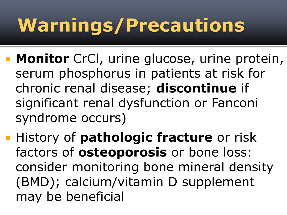# **Warnings/Precautions**

- **Monitor** CrCl, urine glucose, urine protein, serum phosphorus in patients at risk for chronic renal disease; **discontinue** if significant renal dysfunction or Fanconi syndrome occurs)
- **History of pathologic fracture** or risk factors of **osteoporosis** or bone loss: consider monitoring bone mineral density (BMD); calcium/vitamin D supplement may be beneficial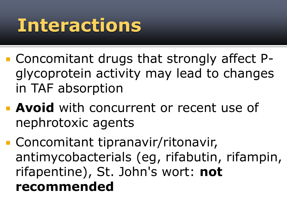## **Interactions**

- Concomitant drugs that strongly affect Pglycoprotein activity may lead to changes in TAF absorption
- **Avoid** with concurrent or recent use of nephrotoxic agents
- **Concomitant tipranavir/ritonavir,** antimycobacterials (eg, rifabutin, rifampin, rifapentine), St. John's wort: **not recommended**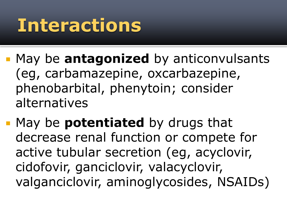## **Interactions**

- **May be antagonized** by anticonvulsants (eg, carbamazepine, oxcarbazepine, phenobarbital, phenytoin; consider alternatives
- May be **potentiated** by drugs that decrease renal function or compete for active tubular secretion (eg, acyclovir, cidofovir, ganciclovir, valacyclovir, valganciclovir, aminoglycosides, NSAIDs)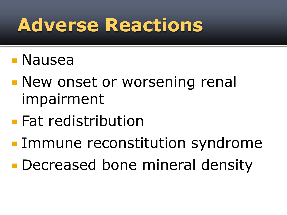## **Adverse Reactions**

- Nausea
- **New onset or worsening renal** impairment
- **Fat redistribution**
- **Immune reconstitution syndrome**
- **Decreased bone mineral density**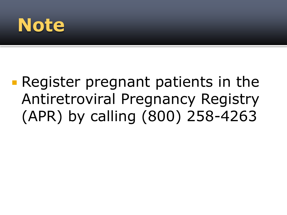### **Note**

#### **Register pregnant patients in the** Antiretroviral Pregnancy Registry (APR) by calling (800) 258-4263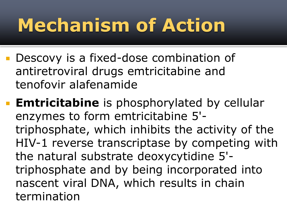# **Mechanism of Action**

- **Descovy is a fixed-dose combination of** antiretroviral drugs emtricitabine and tenofovir alafenamide
- **Emtricitabine** is phosphorylated by cellular enzymes to form emtricitabine 5' triphosphate, which inhibits the activity of the HIV-1 reverse transcriptase by competing with the natural substrate deoxycytidine 5' triphosphate and by being incorporated into nascent viral DNA, which results in chain termination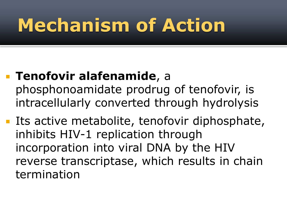# **Mechanism of Action**

- **Tenofovir alafenamide**, a phosphonoamidate prodrug of tenofovir, is intracellularly converted through hydrolysis
- **Its active metabolite, tenofovir diphosphate,** inhibits HIV-1 replication through incorporation into viral DNA by the HIV reverse transcriptase, which results in chain termination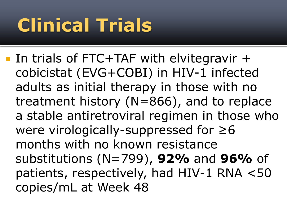# **Clinical Trials**

 In trials of FTC+TAF with elvitegravir + cobicistat (EVG+COBI) in HIV-1 infected adults as initial therapy in those with no treatment history (N=866), and to replace a stable antiretroviral regimen in those who were virologically-suppressed for ≥6 months with no known resistance substitutions (N=799), **92%** and **96%** of patients, respectively, had HIV-1 RNA <50 copies/mL at Week 48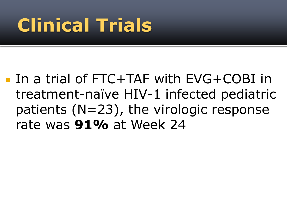# **Clinical Trials**

■ In a trial of FTC+TAF with EVG+COBI in treatment-naïve HIV-1 infected pediatric patients (N=23), the virologic response rate was **91%** at Week 24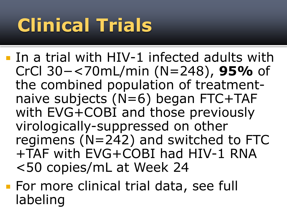# **Clinical Trials**

**In a trial with HIV-1 infected adults with** CrCl 30−<70mL/min (N=248), **95%** of the combined population of treatmentnaive subjects (N=6) began FTC+TAF with EVG+COBI and those previously virologically-suppressed on other regimens (N=242) and switched to FTC +TAF with EVG+COBI had HIV-1 RNA <50 copies/mL at Week 24

**For more clinical trial data, see full** labeling